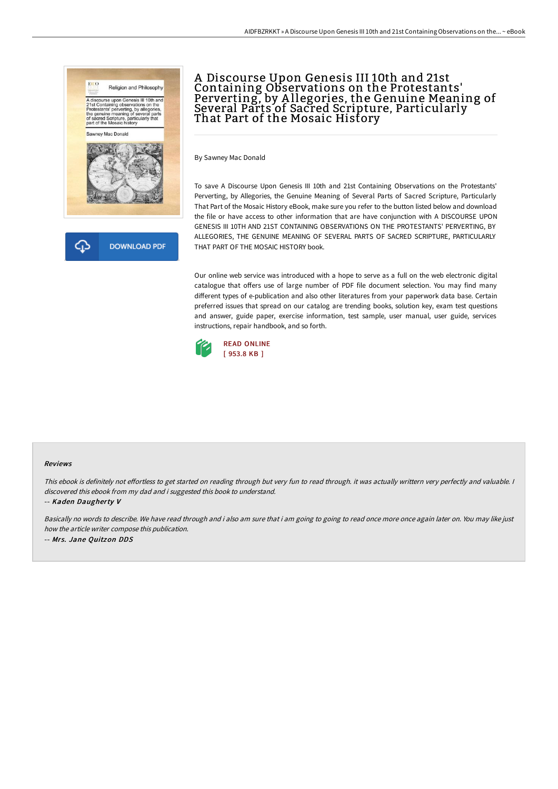



By Sawney Mac Donald

To save A Discourse Upon Genesis III 10th and 21st Containing Observations on the Protestants' Perverting, by Allegories, the Genuine Meaning of Several Parts of Sacred Scripture, Particularly That Part of the Mosaic History eBook, make sure you refer to the button listed below and download the file or have access to other information that are have conjunction with A DISCOURSE UPON GENESIS III 10TH AND 21ST CONTAINING OBSERVATIONS ON THE PROTESTANTS' PERVERTING, BY ALLEGORIES, THE GENUINE MEANING OF SEVERAL PARTS OF SACRED SCRIPTURE, PARTICULARLY THAT PART OF THE MOSAIC HISTORY book.

Our online web service was introduced with a hope to serve as a full on the web electronic digital catalogue that offers use of large number of PDF file document selection. You may find many different types of e-publication and also other literatures from your paperwork data base. Certain preferred issues that spread on our catalog are trending books, solution key, exam test questions and answer, guide paper, exercise information, test sample, user manual, user guide, services instructions, repair handbook, and so forth.



## Reviews

This ebook is definitely not effortless to get started on reading through but very fun to read through. it was actually writtern very perfectly and valuable. I discovered this ebook from my dad and i suggested this book to understand.

-- Kaden Daugherty V

Basically no words to describe. We have read through and i also am sure that i am going to going to read once more once again later on. You may like just how the article writer compose this publication. -- Mrs. Jane Quitzon DDS